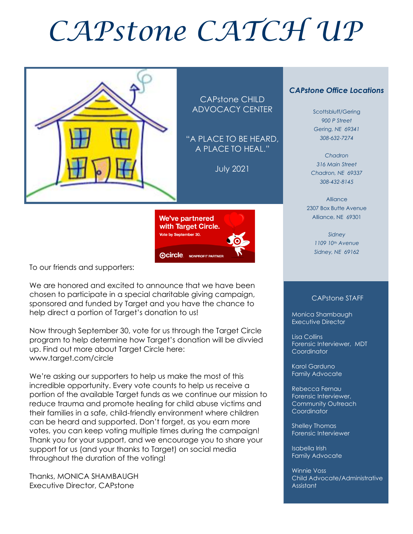# *CAPstone CATCH UP*



CAPstone CHILD ADVOCACY CENTER

"A PLACE TO BE HEARD, A PLACE TO HEAL."

July 2021



To our friends and supporters:

We are honored and excited to announce that we have been chosen to participate in a special charitable giving campaign, sponsored and funded by Target and you have the chance to help direct a portion of Target's donation to us!

Now through September 30, vote for us through the Target Circle program to help determine how Target's donation will be divvied up. Find out more about Target Circle here: www.target.com/circle

We're asking our supporters to help us make the most of this incredible opportunity. Every vote counts to help us receive a portion of the available Target funds as we continue our mission to reduce trauma and promote healing for child abuse victims and their families in a safe, child-friendly environment where children can be heard and supported. Don't forget, as you earn more votes, you can keep voting multiple times during the campaign! Thank you for your support, and we encourage you to share your support for us (and your thanks to Target) on social media throughout the duration of the voting!

Thanks, MONICA SHAMBAUGH Executive Director, CAPstone

#### *CAPstone Office Locations*

Scottsbluff/Gering *900 P Street Gering, NE 69341 308-632-7274*

*Chadron 316 Main Street Chadron, NE 69337 308-432-8145*

Alliance 2307 Box Butte Avenue Alliance, NE 69301

> *Sidney 1109 10th Avenue Sidney, NE 69162*

#### CAPstone STAFF

Monica Shambaugh Executive Director

I

Lisa Collins Forensic Interviewer, MDT **Coordinator** 

Karol Garduno Family Advocate

Rebecca Fernau Forensic Interviewer, Community Outreach Coordinator

Shelley Thomas Forensic Interviewer

Isabella Irish Family Advocate

Winnie Voss Child Advocate/Administrative Assistant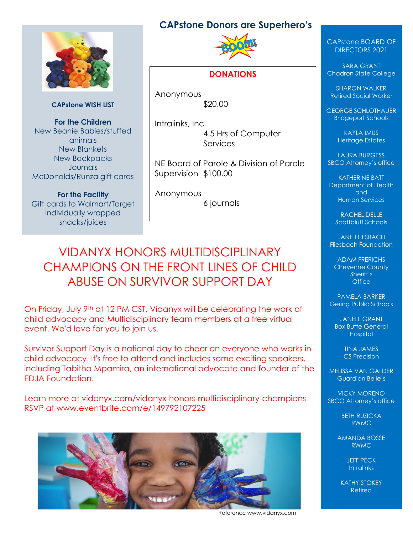### **CAPstone Donors are Superhero's**



**CAPstone WISH LIST**

**For the Children** New Beanie Babies/stuffed animals New Blankets New Backpacks **Journals** McDonalds/Runza gift cards

**For the Facility** Gift cards to Walmart/Target Individually wrapped snacks/juices



#### **DONATIONS**

Anonymous \$20.00

Intralinks, Inc 4.5 Hrs of Computer **Services** 

NE Board of Parole & Division of Parole Supervision \$100.00

Anonymous 6 journals

# VIDANYX HONORS MULTIDISCIPLINARY CHAMPIONS ON THE FRONT LINES OF CHILD ABUSE ON SURVIVOR SUPPORT DAY

On Friday, July 9th at 12 PM CST, Vidanyx will be celebrating the work of child advocacy and Multidisciplinary team members at a free virtual event. We'd love for you to join us.

Survivor Support Day is a national day to cheer on everyone who works in child advocacy. It's free to attend and includes some exciting speakers, including Tabitha Mpamira, an international advocate and founder of the EDJA Foundation.

Learn more at vidanyx.com/vidanyx-honors-multidisciplinary-champions RSVP at www.eventbrite.com/e/149792107225



Reference www.vidanyx.com

#### CAPstone BOARD OF DIRECTORS 2021

SARA GRANT Chadron State College

SHARON WALKER Retired Social Worker

GEORGE SCHLOTHAUER Bridgeport Schools

> KAYLA IMUS Heritage Estates

LAURA BURGESS SBCO Attorney's office

KATHERINE BATT Department of Health and Human Services

> RACHEL DELLE Scottbluff Schools

JANE FLIESBACH Fliesbach Foundation

ADAM FRERICHS Cheyenne County Sheriff's **Office** 

PAMELA BARKER Gering Public Schools

JANELL GRANT **Box Butte General Hospital** 

> TINA JAMES CS Precision

MELISSA VAN GALDER Guardian Belle's

VICKY MORENO SBCO Attorney's office

> BETH RUZICKA RWMC

AMANDA BOSSE RWMC

> JEFF PECK **Intralinks**

KATHY STOKEY Retired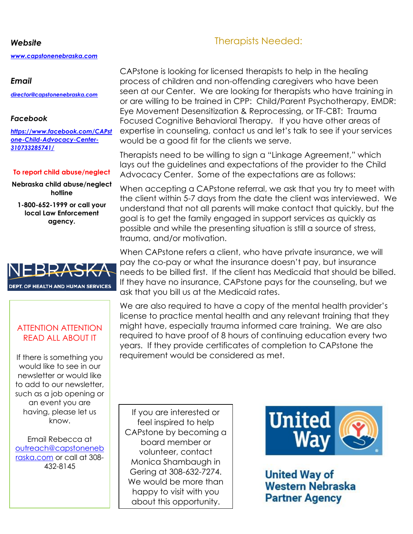#### *Website*

*[www.capstonenebraska.com](http://www.capstonenebraska.com/)*

#### *Email*

*[director@capstonenebraska.com](mailto:director@capstonenebraska.com)*

#### *Facebook*

*[https://www.facebook.com/CAPst](https://www.facebook.com/CAPstone-Child-Advocacy-Center-310733285741/) [one-Child-Advocacy-Center-](https://www.facebook.com/CAPstone-Child-Advocacy-Center-310733285741/)[310733285741/](https://www.facebook.com/CAPstone-Child-Advocacy-Center-310733285741/)*

#### **To report child abuse/neglect**

**Nebraska child abuse/neglect hotline**

**1-800-652-1999 or call your local Law Enforcement agency.**



#### ATTENTION ATTENTION READ ALL ABOUT IT

If there is something you would like to see in our newsletter or would like to add to our newsletter, such as a job opening or an event you are having, please let us know.

Email Rebecca at [outreach@capstoneneb](mailto:outreach@capstonenebraska.com) [raska.com](mailto:outreach@capstonenebraska.com) or call at 308- 432-8145

Page 2

If you are interested or feel inspired to help CAPstone by becoming a board member or volunteer, contact Monica Shambaugh in Gering at 308-632-7274. We would be more than happy to visit with you about this opportunity.



**United Way of Western Nebraska Partner Agency** 

# Therapists Needed:

CAPstone is looking for licensed therapists to help in the healing process of children and non-offending caregivers who have been seen at our Center. We are looking for therapists who have training in or are willing to be trained in CPP: Child/Parent Psychotherapy, EMDR: Eye Movement Desensitization & Reprocessing, or TF-CBT: Trauma Focused Cognitive Behavioral Therapy. If you have other areas of expertise in counseling, contact us and let's talk to see if your services would be a good fit for the clients we serve.

Therapists need to be willing to sign a "Linkage Agreement," which lays out the guidelines and expectations of the provider to the Child Advocacy Center. Some of the expectations are as follows:

When accepting a CAPstone referral, we ask that you try to meet with the client within 5-7 days from the date the client was interviewed. We understand that not all parents will make contact that quickly, but the goal is to get the family engaged in support services as quickly as possible and while the presenting situation is still a source of stress, trauma, and/or motivation.

ask that you bill us at the Medicaid rates. When CAPstone refers a client, who have private insurance, we will pay the co-pay or what the insurance doesn't pay, but insurance needs to be billed first. If the client has Medicaid that should be billed. If they have no insurance, CAPstone pays for the counseling, but we

We are also required to have a copy of the mental health provider's license to practice mental health and any relevant training that they might have, especially trauma informed care training. We are also required to have proof of 8 hours of continuing education every two years. If they provide certificates of completion to CAPstone the requirement would be considered as met.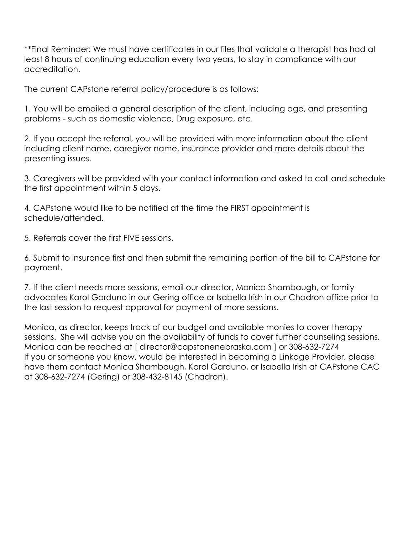\*\*Final Reminder: We must have certificates in our files that validate a therapist has had at least 8 hours of continuing education every two years, to stay in compliance with our accreditation.

The current CAPstone referral policy/procedure is as follows:

1. You will be emailed a general description of the client, including age, and presenting problems - such as domestic violence, Drug exposure, etc.

2. If you accept the referral, you will be provided with more information about the client including client name, caregiver name, insurance provider and more details about the presenting issues.

3. Caregivers will be provided with your contact information and asked to call and schedule the first appointment within 5 days.

4. CAPstone would like to be notified at the time the FIRST appointment is schedule/attended.

5. Referrals cover the first FIVE sessions.

6. Submit to insurance first and then submit the remaining portion of the bill to CAPstone for payment.

7. If the client needs more sessions, email our director, Monica Shambaugh, or family advocates Karol Garduno in our Gering office or Isabella Irish in our Chadron office prior to the last session to request approval for payment of more sessions.

Monica, as director, keeps track of our budget and available monies to cover therapy sessions. She will advise you on the availability of funds to cover further counseling sessions. Monica can be reached at [ director@capstonenebraska.com ] or 308-632-7274 If you or someone you know, would be interested in becoming a Linkage Provider, please have them contact Monica Shambaugh, Karol Garduno, or Isabella Irish at CAPstone CAC at 308-632-7274 (Gering) or 308-432-8145 (Chadron).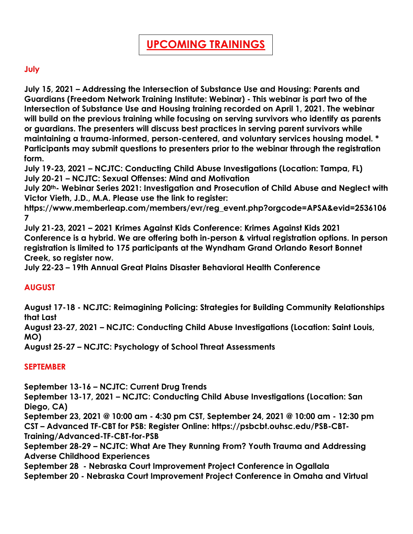#### **July**

**July 15, 2021 – Addressing the Intersection of Substance Use and Housing: Parents and Guardians (Freedom Network Training Institute: Webinar) - This webinar is part two of the Intersection of Substance Use and Housing training recorded on April 1, 2021. The webinar will build on the previous training while focusing on serving survivors who identify as parents or guardians. The presenters will discuss best practices in serving parent survivors while maintaining a trauma-informed, person-centered, and voluntary services housing model. \* Participants may submit questions to presenters prior to the webinar through the registration form.** 

**July 19-23, 2021 – NCJTC: Conducting Child Abuse Investigations (Location: Tampa, FL) July 20-21 – NCJTC: Sexual Offenses: Mind and Motivation**

**July 20th- Webinar Series 2021: Investigation and Prosecution of Child Abuse and Neglect with Victor Vieth, J.D., M.A. Please use the link to register:** 

**https://www.memberleap.com/members/evr/reg\_event.php?orgcode=APSA&evid=2536106 7**

**July 21-23, 2021 – 2021 Krimes Against Kids Conference: Krimes Against Kids 2021 Conference is a hybrid. We are offering both in-person & virtual registration options. In person registration is limited to 175 participants at the Wyndham Grand Orlando Resort Bonnet Creek, so register now.**

**July 22-23 – 19th Annual Great Plains Disaster Behavioral Health Conference**

#### **AUGUST**

**August 17-18 - NCJTC: Reimagining Policing: Strategies for Building Community Relationships that Last**

**August 23-27, 2021 – NCJTC: Conducting Child Abuse Investigations (Location: Saint Louis, MO)**

**August 25-27 – NCJTC: Psychology of School Threat Assessments**

#### **SEPTEMBER**

**September 13-16 – NCJTC: Current Drug Trends**

**September 13-17, 2021 – NCJTC: Conducting Child Abuse Investigations (Location: San Diego, CA)**

**September 23, 2021 @ 10:00 am - 4:30 pm CST, September 24, 2021 @ 10:00 am - 12:30 pm CST – Advanced TF-CBT for PSB: Register Online: https://psbcbt.ouhsc.edu/PSB-CBT-Training/Advanced-TF-CBT-for-PSB**

**September 28-29 – NCJTC: What Are They Running From? Youth Trauma and Addressing Adverse Childhood Experiences**

**September 28 - Nebraska Court Improvement Project Conference in Ogallala September 20 - Nebraska Court Improvement Project Conference in Omaha and Virtual**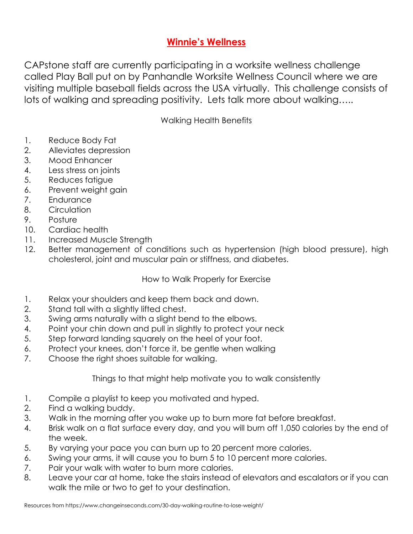## **Winnie's Wellness**

CAPstone staff are currently participating in a worksite wellness challenge called Play Ball put on by Panhandle Worksite Wellness Council where we are visiting multiple baseball fields across the USA virtually. This challenge consists of lots of walking and spreading positivity. Lets talk more about walking…..

Walking Health Benefits

- 1. Reduce Body Fat
- 2. Alleviates depression
- 3. Mood Enhancer
- 4. Less stress on joints
- 5. Reduces fatigue
- 6. Prevent weight gain
- 7. Endurance
- 8. Circulation
- 9. Posture
- 10. Cardiac health
- 11. Increased Muscle Strength
- 12. Better management of conditions such as hypertension (high blood pressure), high cholesterol, joint and muscular pain or stiffness, and diabetes.

#### How to Walk Properly for Exercise

- 1. Relax your shoulders and keep them back and down.
- 2. Stand tall with a slightly lifted chest.
- 3. Swing arms naturally with a slight bend to the elbows.
- 4. Point your chin down and pull in slightly to protect your neck
- 5. Step forward landing squarely on the heel of your foot.
- 6. Protect your knees, don't force it, be gentle when walking
- 7. Choose the right shoes suitable for walking.

Things to that might help motivate you to walk consistently

- 1. Compile a playlist to keep you motivated and hyped.
- 2. Find a walking buddy.
- 3. Walk in the morning after you wake up to burn more fat before breakfast.
- 4. Brisk walk on a flat surface every day, and you will burn off 1,050 calories by the end of the week.
- 5. By varying your pace you can burn up to 20 percent more calories.
- 6. Swing your arms, it will cause you to burn 5 to 10 percent more calories.
- 7. Pair your walk with water to burn more calories.
- 8. Leave your car at home, take the stairs instead of elevators and escalators or if you can walk the mile or two to get to your destination.